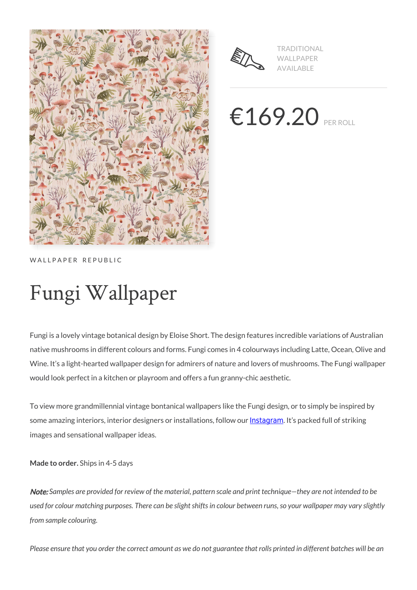



TRADITIONAL WALLPAPER AVAILABLE

€169.20 PER ROLL

WALLPAPER REPUBLIC

# Fungi Wallpaper

Fungi is a lovely vintage botanical design by Eloise Short. The design features incredible variations of Australian native mushrooms in different colours and forms. Fungi comes in 4 colourways including Latte, Ocean, Olive and Wine. It's a light-hearted wallpaper design for admirers of nature and lovers of mushrooms. The Fungi wallpaper would look perfect in a kitchen or playroom and offers a fun granny-chic aesthetic.

To view more grandmillennial vintage bontanical wallpapers like the Fungi design, or to simply be inspired by some amazing interiors, interior designers or installations, follow our [Instagram](https://www.instagram.com/miltonandking/). It's packed full of striking images and sensational wallpaper ideas.

**Made to order.** Ships in 4-5 days

Note: *Samples are provided for review of the material, pattern scale and print technique—they are not intended to be used for colour matching purposes. There can be slight shifts in colour between runs, so your wallpaper may vary slightly from sample colouring.*

*Please ensure that you order the correct amount as we do not guarantee that rolls printed in different batches will be an*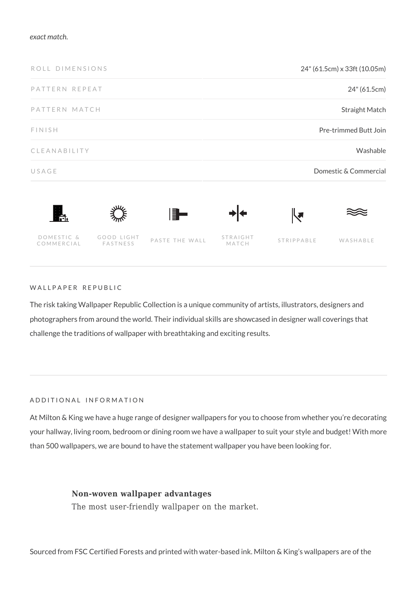#### *exact match.*



## WALLPAPER REPUBLIC

The risk taking Wallpaper Republic Collection is a unique community of artists, illustrators, designers and photographers from around the world. Their individual skills are showcased in designer wall coverings that challenge the traditions of wallpaper with breathtaking and exciting results.

#### ADDITIONAL INFORMATION

At Milton & King we have a huge range of designer wallpapers for you to choose from whether you're decorating your hallway, living room, bedroom or dining room we have a wallpaper to suit your style and budget! With more than 500 wallpapers, we are bound to have the statement wallpaper you have been looking for.

## **Non-woven wallpaper advantages**

The most user-friendly wallpaper on the market.